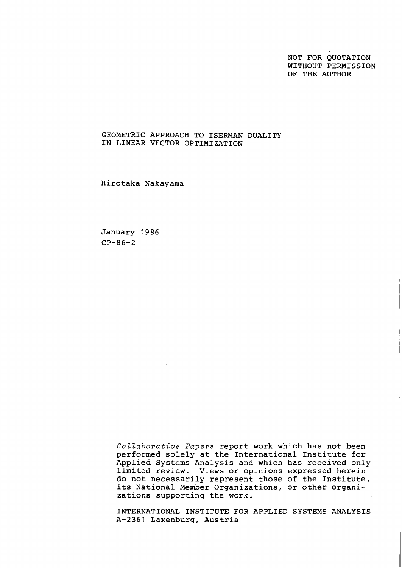NOT FOR QUOTATION WITHOUT PERMISSION OF THE AUTHOR

# GEOMETRIC APPROACH TO ISERMAN DUALITY IN LINEAR VECTOR OPTIMIZATION

Hirotaka Nakayama

January 1986 CP-86-2

> Collaborative Papers report work which has not been performed solely at the International Institute for Applied Systems Analysis and which has received only limited review. Views or opinions expressed herein do not necessarily represent those of the Institute, its National Member Organizations, or other organizations supporting the work.

> INTERNATIONAL INSTITUTE FOR APPLIED SYSTEMS ANALYSIS A-2361 Laxenburg, Austria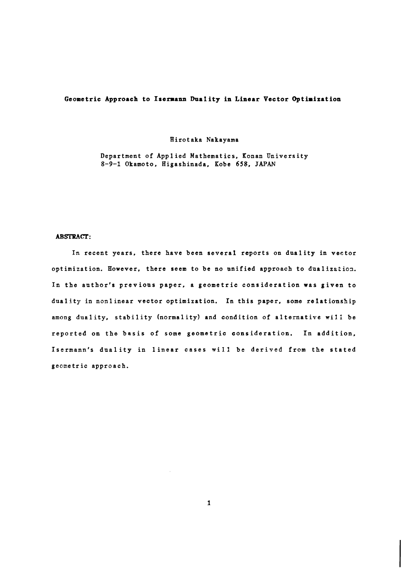# Geometric Approach to Isermann Duality in Linear Vector Optimization

#### Hirotaka Nakayama

Department of Appl ied Mathematics, Konan University 8-9-1 Okamoto, Higashinada, Kobe 658, JAPAN

### **ABSTRACT:**

In recent years, there have been several reports on duality in vector optimization. However, there seem to be no unified approach to dualization. In the author's previous paper, a geometric consideration was given to duality in nonlinear vector optimization. In this paper, some relationship among duality, stability (normality) and condition of alternative will be reported on the basis of some geometric consideration. In addition, Isermann's duality in linear cases will be derived from the stated geometric approach.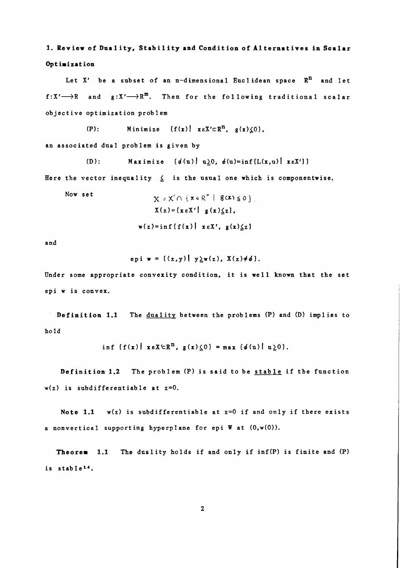1. Review of Duality, Stability and Condition of Alternatives in Scalar Optimization

Let  $X'$  be a subset of an n-dimensional Euclidean space  $R^n$  and let  $f:\mathbb{X}'\longrightarrow\mathbb{R}$  and  $g:\mathbb{X}'\longrightarrow\mathbb{R}^m$ . Then for the following traditional scalar objective optimization problem

(P): Minimize  $\{f(x) | x \in X' \subset R^n, g(x) \leq 0\},$ an associated dual problem is given by

(D): Maximize  $\{\phi(u) \mid u \geq 0, \phi(u) = \inf \{L(x, u) \mid x \in X'\}\}\$ 

Here the vector inequality  $\leq$  is the usual one which is componentwise.

Now set

$$
X = X' \cap \{x \in R^n \mid g(x) \le 0\}
$$
  

$$
X(z) = \{x \in X' \mid g(x) \le 2\},
$$
  

$$
w(z) = \inf \{f(x) \mid x \in X', g(x) \le 2\}
$$

and

epi w = 
$$
\{(z,y) | y \ge w(z), X(z) \neq \emptyset\}.
$$

Under some appropriate convexity condition, it is well known that the set epi w is convex.

Definition 1.1 The duality between the problems (P) and (D) implies to hold

$$
\inf \{f(x) | x \in X \subset \mathbb{R}^n, g(x) \leq 0\} = \max \{g(u) | u \geq 0\}.
$$

**Definition 1.2** The problem (P) is said to be  $\frac{\text{stab}1e}{\text{in}}$  if the function  $w(z)$  is subdifferentiable at  $z=0$ .

Note 1.1  $w(z)$  is subdifferentiable at z=0 if and only if there exists a nonvertical supporting hyperplane for epi W at (O,w(O)).

Theorem 1.1 The duality holds if and only if inf(P) is finite and (P) is stablel4.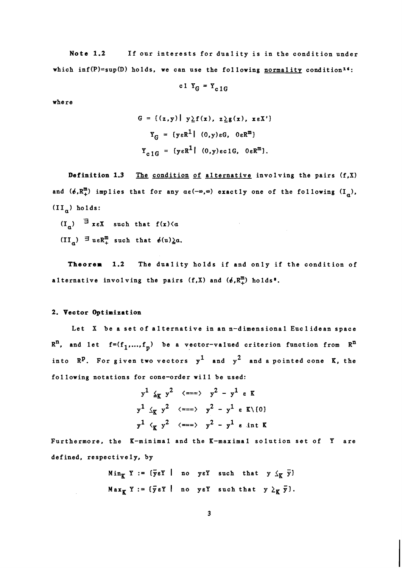**Note 1.2** If our interests for duality is in the condition under which inf(P)=sup(D) holds, we can use the following normality condition<sup>16</sup>:

$$
c1 Y_G = Y_{c1G}
$$

where

$$
G = \{ (z,y) | y \ge f(x), z \ge g(x), x \in X' \}
$$
  

$$
Y_G = \{ y \in R^1 | (0,y) \in G, 0 \in R^m \}
$$
  

$$
Y_{c,1G} = \{ y \in R^1 | (0,y) \in C1G, 0 \in R^m \}.
$$

**Definition 1.3** The condition of alternative involving the pairs (f,X) and  $(\phi,R^m_+)$  implies that for any  $\alpha\epsilon(-\infty,\infty)$  exactly one of the following  $(I_{\alpha})$ ,  $(II_n)$  holds:

 $(I_a)$   $\exists$   $x \in X$  such that  $f(x) \le a$ 

 $(II_a) \equiv u \cdot R_+^m$  such that  $\phi(u)\underline{\lambda}a$ .

**Theorem 1.2** The duality holds if and only if the condition of alternative involving the pairs  $(f,X)$  and  $(\phi,R_+^m)$  holds<sup>8</sup>.

### **2. Vector Optimization**

 $\sim 10^{11}$  km  $^{-1}$ 

Let X be a set of alternative in an n-dimensional Euclidean space  $R^n$ , and let  $f=(f_1,...,f_p)$  be a vector-valued criterion function from  $R^n$ into  $\mathbb{R}^p$ . For given two vectors  $y^1$  and  $y^2$  and a pointed cone K, the following notations for cone-order will be used:

$$
y^{1} \leq_{K} y^{2} \iff y^{2} - y^{1} \in K
$$
  

$$
y^{1} \leq_{K} y^{2} \iff y^{2} - y^{1} \in K \setminus \{0\}
$$
  

$$
y^{1} \leq_{K} y^{2} \iff y^{2} - y^{1} \in K \setminus \{0\}
$$
  

$$
y^{1} \leq_{K} y^{2} \iff y^{2} - y^{1} \in int K
$$

Furthermore, the K-minimal and the K-maximal solution set of Y are defined, respectively, by

Min<sub>K</sub> Y := {
$$
\overline{y}
$$
eY | no yeY such that  $y \leq_K \overline{y}$ }  
Max<sub>K</sub> Y := { $\overline{y}$ eY | no yeY such that  $y \geq_K \overline{y}$  }.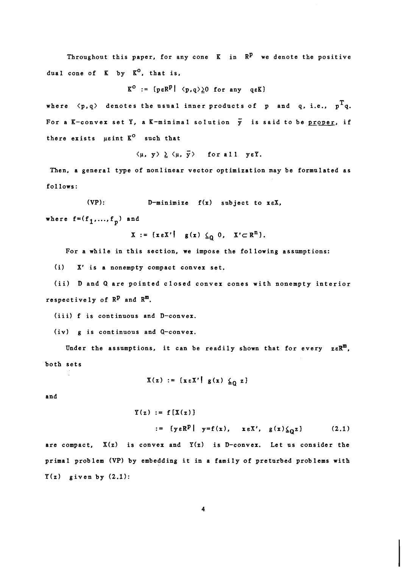Throughout this paper, for any cone  $K$  in  $\mathbb{R}^p$  we denote the positive dual cone of  $K$  by  $K^0$ , that is,

$$
K^O := \{p \in R^P \mid \langle p, q \rangle \geq 0 \text{ for any } q \in K\}
$$

where  $\langle p, q \rangle$  denotes the usual inner products of p and q, i.e.,  $p^T q$ . For a K-convex set Y, a K-minimal solution  $\bar{y}$  is said to be <u>proper</u>, if there exists usint  $K^O$  such that

 $\langle \mu, y \rangle \geq \langle \mu, \overline{y} \rangle$  for all yeY.

Then, a general type of nonlinear vector optimization may be formulated as follows:

(VP):  $D-minimize f(x) subject to x \in X$ ,

where  $f=(f_1,...,f_n)$  and

 $X := \{x \in X' \mid g(x) \leq_0 0, X' \subset R^n \}.$ 

For a while in this section, we impose the following assumptions:

(i) X' is a nonempty compact convex set.

(ii) D and Q are pointed closed convex cones with nonempty interior respectively of  $\mathbb{R}^p$  and  $\mathbb{R}^m$ .

(iii) f is continuous and D-convex.

(iv) g is continuous and Q-convex.

Under the assumptions, it can be readily shown that for every  $zeR^m$ , both sets

 $X(z) := {x \in X' | g(x) \leq_0 z}$ 

and

 $Y(z) := f[X(z)]$ 

:=  $\{y \in \mathbb{R}^p \mid y = f(x), x \in \mathbb{X}', g(x) \leq_0 z\}$  (2.1)

are compact,  $X(z)$  is convex and  $Y(z)$  is D-convex. Let us consider the primal problem (VP) by embedding it in a family of preturbed problems with  $Y(z)$  given by  $(2.1)$ :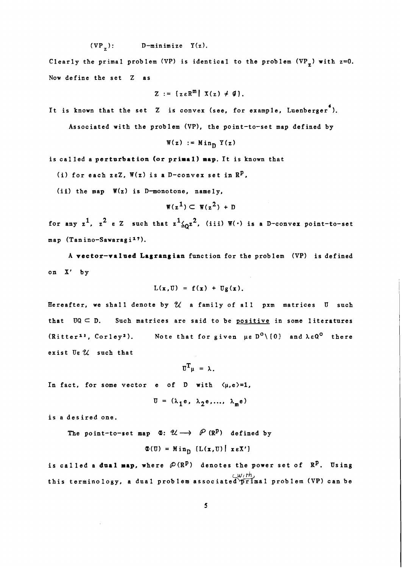$$
(VP_{z})
$$
:  $D-minimize Y(z)$ .

Clearly the primal problem (VP) is identical to the problem (VP<sub>z</sub>) with  $z=0$ . Now define the set Z as

$$
Z := \{ z \in \mathbb{R}^m \mid X(z) \neq \emptyset \}.
$$

It is known that the set Z is convex (see, for example, Luenberger<sup>6</sup>).

Associated with the problem (VP), the point-to-set map defined by

$$
\mathbf{W}(\mathbf{z}) := \mathbf{Min}_{\mathbf{D}} \mathbf{Y}(\mathbf{z})
$$

is called a perturbation (or primal) map. It is known that

(i) for each zeZ,  $W(z)$  is a D-convex set in  $\mathbb{R}^p$ ,

(ii) the map  $W(z)$  is D-monotone, namely,

$$
\mathbf{W}(\mathbf{z}^1) \subset \mathbf{W}(\mathbf{z}^2) + \mathbf{D}
$$

for any  $z^1$ ,  $z^2$  e Z such that  $z^1 \underline{\zeta_0} z^2$ , (iii)  $W(·)$  is a D-convex point-to-set map (Tanino-Sawaragi<sup>17</sup>).

A vector-valued Lagrangian function for the problem (VP) is defined on X' by

$$
L(\mathbf{x},\mathbf{U}) = f(\mathbf{x}) + Ug(\mathbf{x}).
$$

Hereafter, we shall denote by **74** a family of all pxm matrices **U** snch that UQ **c** D. Such matrices are said to be positive in some literatures (Ritter<sup>13</sup>, Corley<sup>2</sup>). Note that for given  $\mu \epsilon D^0 \setminus \{0\}$  and  $\lambda \epsilon Q^0$  there exist Ue  $U$  such that

 $\overline{u}^T u = \lambda$ .

In fact, for some vector e of D with  $\langle \mu, e \rangle = 1$ ,

 $U = (\lambda_1 e, \lambda_2 e, ..., \lambda_m e)$ 

is a desired one.

The point-to-set map  $\Phi: \mathcal{U} \longrightarrow \mathcal{P}(\mathbb{R}^p)$  defined by

$$
\Phi(\mathbf{U}) = \text{Min}_{\mathbf{D}} \left[ L(\mathbf{x}, \mathbf{U}) \middle| \mathbf{x} \in \mathbf{X'} \right]
$$

is called a dual map, where  $\mathcal{P}(R^p)$  denotes the power set of  $R^p$ . Using *wi* th this terminology, a dual problem associated primal problem (VP) can be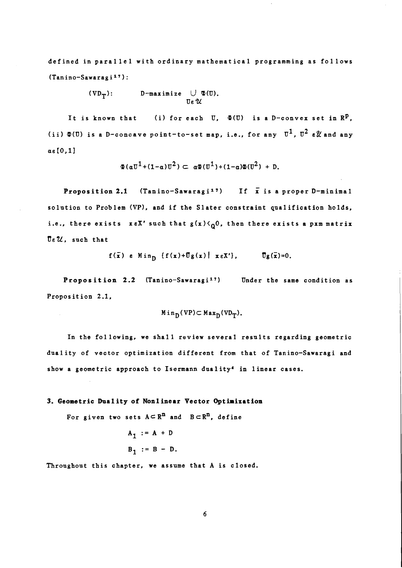defined in parallel with ordinary mathematical programming as follows  $(Tanino-Sawaragi<sup>17</sup>)$ :

> $(VD_T):$  D-maximize  $\bigcup \Phi(U).$  $\pi$   $2$

It is known that (i) for each U,  $\Phi(U)$  is a D-convex set in  $\mathbb{R}^p$ , (ii)  $\Phi(\mathbb{U})$  is a D-concave point-to-set map, i.e., for any  $\mathbb{U}^1$ ,  $\mathbb{U}^2$   $\varepsilon\mathcal{U}$  and any  $\alpha\epsilon[0,1]$ 

$$
\Phi(\alpha \overline{v}^1 + (1 - \alpha) \overline{v}^2) \subset \alpha \Phi(\overline{v}^1) + (1 - \alpha) \Phi(\overline{v}^2) + D.
$$

Proposition 2.1 (Tanino-Sawaragi<sup>17</sup>) If  $\bar{x}$  is a proper D-minimal solution to Problem (VP), and if the Slater constraint qualification holds, i.e., there exists  $x \in X'$  such that  $g(x) \langle 0, 0 \rangle$ , then there exists a pxm matrix  $\overline{0}$   $\varepsilon$   $\mathcal{U}$ , such that

$$
f(\bar{x})
$$
 e Min<sub>D</sub>  $\{f(x)+\bar{U}g(x) \mid x \in X'\},$   $\bar{U}g(\bar{x})=0.$ 

Proposition 2.2 (Tanino-Sawaragi<sup>17</sup>) Under the same condition as Proposit ion 2.1,

$$
\texttt{Min}_D(\texttt{VP}) \subset \texttt{Max}_D(\texttt{VD}_T).
$$

In the fol lowing, we shall review several results regarding geometric duality of vector optimization different from that of Tanino-Sawaragi and show a geometric approach to Isermann duality4 in linear cases.

# 3. Geometric Duality of Nonlinear Vector Optimization

For given two sets  $A \subset R^n$  and  $B \subset R^n$ , define

$$
A_1 := A + D
$$
  

$$
B_1 := B - D.
$$

Throughout this chapter, we assume that A is closed.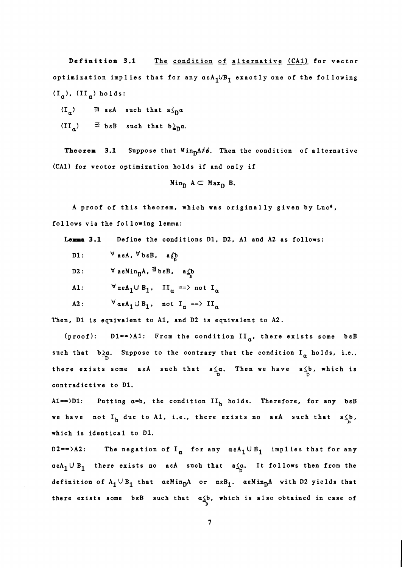Definition 3.1 The condition of alternative (CA1) for vector optimization implies that for any  $a\epsilon A_1$ UB<sub>1</sub> exactly one of the following  $(I_{a})$ ,  $(II_{a})$  holds:

 $(I_{\alpha})$   $\exists$  as A such that  $a \leq_{D} \alpha$ 

 $(II_a)$   $\equiv$  **b** $\epsilon$ B such that  $b \geq_{\mathbf{D}} a$ .

**Theorem 3.1** Suppose that  $Min<sub>D</sub>A \neq 0$ . Then the condition of alternative (CAI) for vector optimization holds if and only if

$$
\mathsf{Min}_{D} A \subset \mathsf{Max}_{D} B.
$$

A proof of this theorem, which was originally given by Luc6, fol lows via the following lemma:

**Lemma 3.1** Define the conditions Dl, D2, A1 and A2 as follows:

- D1:  $\forall$  asA,  $\forall$  b $\epsilon$ B, a  $\angle$ b
- D2:  $\forall$  aeMin<sub>D</sub>A, <sup>3</sup>beB, a<sup>1</sup>/<sub>2</sub>
- A1:  $\forall \alpha \in A_1 \cup B_1$ ,  $II_\alpha ==$  not  $I_\alpha$
- A2:  $\forall \alpha \in A_1 \cup B_1$ , not  $I_\alpha \implies II_\alpha$

Then, D1 is equivalent to A1, and D2 is equivalent to A2.

(proof):  $D1 = \lambda 1$ : From the condition  $II_{\alpha}$ , there exists some beB such that  $b \ge a$ . Suppose to the contrary that the condition  $I_a$  holds, i.e., there exists some a $\epsilon A$  such that  $a \leq a$ . Then we have  $a \leq b$ , which is  $D$ contradict ive to Dl.

Al==>D1: Putting  $a=b$ , the condition  $II_b$  holds. Therefore, for any beB we have not  $I_b$  due to A1, i.e., there exists no aaA such that a $\zeta b$ , which is identical to Dl.

D2==>A2: The negation of I<sub>a</sub> for any  $\alpha \epsilon A_1 \cup B_1$  implies that for any  $\alpha$ eA<sub>1</sub> U B<sub>1</sub> there exists no aeA such that  $a_{\Omega} \cdot \alpha$ . It follows then from the definition of  $A_1 \cup B_1$  that  $aeMin_DA$  or  $aeB_1$ .  $aeMin_DA$  with D2 yields that there exists some beB such that  $a \leq b$ , which is also obtained in case of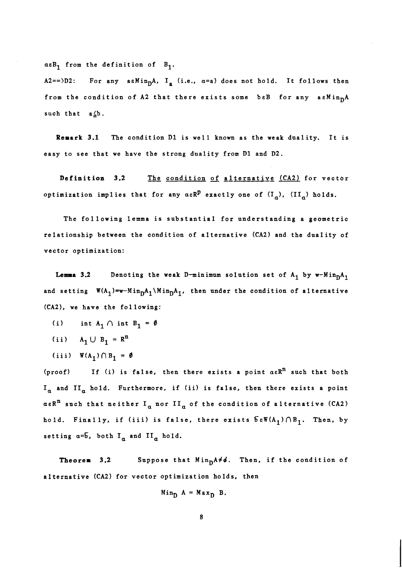$a \epsilon B_1$  from the definition of  $B_1$ .

A2==>D2: For any asMin<sub>D</sub>A, I<sub>a</sub> (i.e.,  $\alpha$ =a) does not hold. It follows then from the condition of A2 that there exists some beB for any aeMin<sub>D</sub>A such that  $a \Delta b$ .

Remark 3.1 The condition D1 is well known as the weak duality. It is easy to see that we have the strong dnality from Dl and D2.

Definition **3.2** *The* condition of alternatipg (CA2) for vector optimization implies that for any  $a \in \mathbb{R}^p$  exactly one of  $(I_\alpha)$ ,  $(II_\alpha)$  holds.

The following lemma is substantial for understanding a geometric relationship between the condition of alternative (CA2) and the dnality of vector optimization:

**Lemma 3.2** Denoting the weak D-minimum solution set of  $A_1$  by w-Min $nA_1$ and setting  $W(A_1) = w - Min<sub>D</sub>A_1 \setminus Min<sub>D</sub>A_1$ , then under the condition of alternative (CA2), we have the following:

- (i) int  $A_1 \cap$  int  $B_1 = \emptyset$
- (ii)  $A_1 \cup B_1 = R^n$
- (iii)  $W(A_1) \cap B_1 = \emptyset$

(proof) If (i) is false, then there exists a point  $a \in \mathbb{R}^n$  such that both  $I_a$  and  $II_a$  hold. Furthermore, if (ii) is false, then there exists a point  $a \in \mathbb{R}^n$  such that neither  $I_a$  nor  $II_a$  of the condition of alternative (CA2) hold. Finally, if (iii) is false, there exists  $\delta \in W(A_1) \cap B_1$ . Then, by setting  $a = \overline{b}$ , both  $I_a$  and  $II_a$  hold.

Theorem 3.2 Suppose that Min<sub>D</sub>A<sup>≠</sup>d. Then, if the condition of alternative (CA2) for vector optimization holds, then

$$
Min_{D} A = Max_{D} B.
$$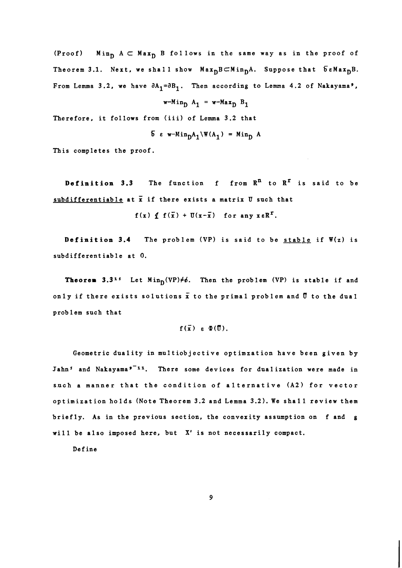(Proof) Min<sub>D</sub>  $A \subset Max_D$  B follows in the same way as in the proof of Theorem 3.1. Next, we shall show  $Max_{D}B\subset Min_{D}A$ . Suppose that  $\delta eMax_{D}B$ . From Lemma 3.2, we have  $\partial A_1 = \partial B_1$ . Then according to Lemma 4.2 of Nakayama<sup>9</sup>,

$$
\mathbf{w}\text{-Min}_{\mathbf{D}} \mathbf{A}_1 = \mathbf{w}\text{-Max}_{\mathbf{D}} \mathbf{B}_1
$$

Therefore, it follows from (iii) of Lemma 3.2 that

$$
5 \varepsilon \ w - \text{Min}_{D}A_{1} \backslash \mathbb{W}(A_{1}) = \text{Min}_{D} A
$$

This completes the proof.

**Definition 3.3** The function f from  $\mathbb{R}^n$  to  $\mathbb{R}^r$  is said to be subdifferentiable at  $\bar{x}$  if there exists a matrix U such that

 $f(x) \nsubseteq f(\bar{x}) + \overline{U}(x-\bar{x})$  for any  $x \in \mathbb{R}^T$ .

**Definition** 3.4 The problem (VP) is said to be stable if W(z) is subdifferentiable at **0.** 

**Theorem 3.3<sup>15</sup>** Let Min<sub>D</sub>(VP) $\neq$ b. Then the problem (VP) is stable if and only if there exists solutions  $\bar{x}$  to the primal problem and  $\bar{0}$  to the dual prob 1 em such that

$$
f(\bar{x}) \ge \Phi(\bar{0}).
$$

Geometric duality in multiobjective optimzation have been given by Jahn<sup>5</sup> and Nakayama<sup>9-11</sup>. There some devices for dualization were made in such a manner that the condition of alternative (A2) for vector optimization holds (Note Theorem 3.2 and Lemma 3.2). We shall review them briefly. As in the previous sect ion, the convexity assumption on f and **g**  will be also imposed here, but X' is not necessarily compact.

Define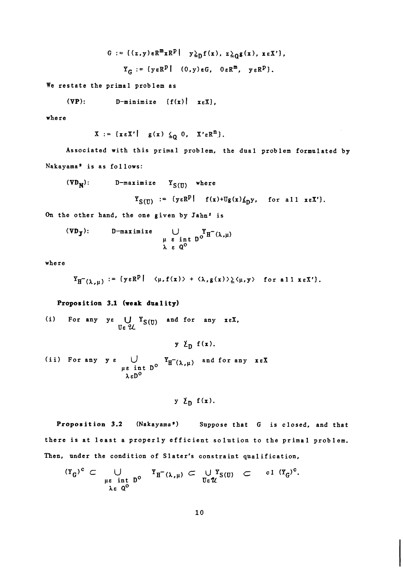G := {(
$$
z,y
$$
) $\epsilon$ R<sup>m</sup> $\mathbf{x}$ R<sup>p</sup>|  $y \geq_{D} f(\mathbf{x})$ ,  $z \geq_{Q} g(\mathbf{x})$ ,  $\mathbf{x} \epsilon X'$ },  
 $Y_{G}$  := { $y \epsilon$ R<sup>p</sup>| ( $0, y$ ) $\epsilon$ G,  $0 \epsilon$ R<sup>m</sup>,  $y \epsilon$ R<sup>p</sup>}.

We restate the primal problem as

$$
(\nabla P)
$$
:  $D$ -minimize  $\{f(x) | x \in X\}$ ,

where

$$
X := \{x \in X' \mid g(x) \leq_0 0, X' \in R^n \}.
$$

Associated with this primal problem, the dual problem formulated by Nakayama' is as follows:

(VD<sub>N</sub>): 
$$
D
$$
-maximize  $Y_{S(U)}$  where  

$$
Y_{S(U)} := \{y \in R^P | f(x) + Ug(x) \leq y, \text{ for all } x \in X'\}.
$$

On the other hand, the one given by Jahn<sup>5</sup> is

$$
(\nabla D_J):
$$
 D-maximize  $\bigcup_{\mu \in \text{int } D^{\circ}} Y_H^{-}(\lambda, \mu)$   
 $\lambda \in Q^{\circ}$ 

where

$$
Y_{H^{-}(\lambda,\mu)} := \{ y \in R^{p} \mid \langle \mu, f(x) \rangle + \langle \lambda, g(x) \rangle \geq \langle \mu, y \rangle \text{ for all } x \in X' \}.
$$

# **Proposition 3.1 (weak duality)**

(i) For any ye  $U Y_{S(\Pi)}$  and for any xeX. UE 'U.

 $y \nvert \nvert \nvert f(x)$ . (ii) For any  $y \in \bigcup_{\mu \in \text{ int } D^{\circ}} Y_{H^-(\lambda,\mu)}$  and for any  $x \in X$ 

$$
y \nmid p f(x).
$$

Proposition 3.2 (Nakayama<sup>9</sup>) Suppose that G is closed, and that there is at least a properly efficient solution to the primal problem. Then, under the condition of Slater's constraint qualification,

$$
(Y_G)^c \subset \bigcup_{\substack{\mu \in \text{ int } D^0 \\ \lambda \in Q^0}} Y_H^-(\lambda, \mu) \subset \bigcup_{\substack{U \in \mathcal{U} \\ \lambda \in Q^0}} Y_{S(U)} \subset \text{ cl } (Y_G)^c.
$$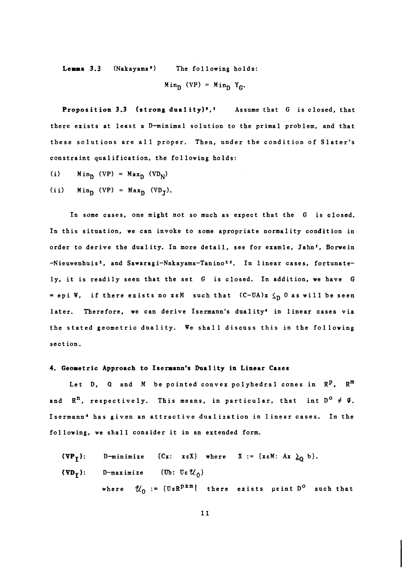Lemma 3.3 (Nakayama<sup>9</sup>) The following holds:

$$
Min_{D} (VP) = Min_{D} Y_{G}.
$$

**Proposition 3.3** (strong duality)<sup>9</sup>,<sup>5</sup> Assume that  $G$  is closed, that there exists at least a D-minimal solution to the primal problem, and that these solutions are all proper. Then, under the condition of Slater's constraint qua1 if ication, the following holds:

(i)  $Min_{D} (VP) = Max_{D} (VD_{N})$ 

(ii)  $Min_D (VP) = Max_D (VD_T)$ .

In some cases, one might not so much as expect that the G is closed. In this situation, we can invoke to some apropriate normality condition in order to derive the duality. In more detail, see for examle, Jahn<sup>5</sup>, Borwein -Nieuwenhuisl, and **Sawaragi-Nakayama-Taninols.** In linear cases, fortunately, it is readily seen that the set G is closed. In addition, we have G = epi W, if there exists no xeM such that  $(C-UA)x \leq_D 0$  as will be seen later. Therefore, we can derive Isermann's duality<sup>4</sup> in linear cases via the stated geometric duality. We shall discuss this in the following sect ion.

### 4. Geometric Approach to Isermann's Duality in Linear Cases

Let D, Q and M be pointed convex polyhedral cones in  $\mathbb{R}^p$ ,  $\mathbb{R}^m$ and  $R^n$ , respectively. This means, in particular, that int  $D^0 \neq \emptyset$ . Isermann4 has given an attractive dualization in linear cases. In the following, we shall consider it in an extended form.

(VP<sub>I</sub>): D-minimize {Cx: x\varepsilon X} where X := {x\varepsilon M: Ax 
$$
\underline{\lambda}_0
$$
 b}.  
\n(VD<sub>I</sub>): D-maximize {Ub: U\varepsilon U<sub>0</sub>}  
\nwhere  $U_0 := {U\varepsilon R^{pxm}$  there exists point D<sup>o</sup> such that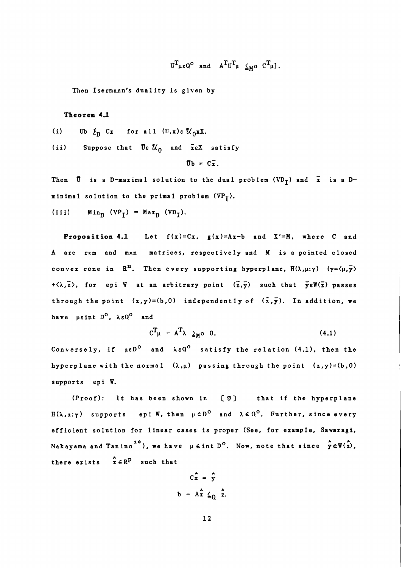$$
\text{tr}_{\mu\epsilon\mathbf{Q}^{\mathbf{O}}} \quad \text{and} \quad \text{A}^T \text{tr}_{\mu} \leq_{M^{\mathbf{O}}} \text{tr}_{\mu}.
$$

Then Isermann's duality is given by

## Theorem 4.1

- (i) **Ub**  $\ell_{\text{D}}$  Cx for all  $(\mathbf{U},\mathbf{x})\in\mathcal{U}_{\text{D}}\mathbf{x}$ .
- (ii) Suppose that  $\overline{U} \epsilon \mathcal{U}_0$  and  $\overline{x} \epsilon X$  satisfy

$$
\overline{\mathbf{U}}\mathbf{b} = \mathbf{C}\overline{\mathbf{x}}.
$$

Then  $\bar{0}$  is a D-maximal solution to the dual problem (VD<sub>I</sub>) and  $\bar{x}$  is a Dminimal solution to the primal problem  $(VP_T)$ .

(iii)  $Min_{D} (VP_{T}) = Max_{D} (VD_{T}).$ 

**Proposition 4.1** Let  $f(x)=Cx$ ,  $g(x)=Ax-b$  and  $X'=M$ , where C and A are rxm and mxn matrices, respectively and M is a pointed closed convex cone in  $\mathbb{R}^n$ . Then every supporting hyperplane,  $H(\lambda,\mu;\gamma)$  ( $\gamma = \langle \mu, \overline{\mathbf{y}} \rangle$  $+\langle \lambda, \overline{z} \rangle$ , for epi W at an arbitrary point  $(\overline{z}, \overline{y})$  such that  $\overline{y} \in \mathbb{W}(\overline{z})$  passes through the point  $(z,y)=(b,0)$  independently of  $(\overline{z},\overline{y})$ . In addition, we have  $\mu \epsilon$ int  $D^0$ ,  $\lambda \epsilon Q^0$  and

$$
C^T\mu - A^T\lambda \geq_M 0 \quad 0. \tag{4.1}
$$

Conversely, if  $\mu \epsilon D^0$  and  $\lambda \epsilon Q^0$  satisfy the relation (4.1), then the hyperp lane with the normal  $(\lambda,\mu)$  passing through the point  $(z,y)=(b,0)$ supports epi W.

(Proof): It has been shown in **[9]** that if the hyperplane  $H(\lambda,\mu;\gamma)$  supports epi W, then  $\mu \in D^{\mathbb{O}}$  and  $\lambda \in \mathbb{Q}^{\mathbb{O}}$ . Further, since every efficient solution for linear cases is proper (See, for example, Sawaragi,  $\nabla$ akayama and Tanino<sup>10</sup>), we have  $\mu \in \text{int }D^{\circ}$ . Now, note that since  $\stackrel{\star}{y} \in \mathbb{W}(\stackrel{\star}{z})$ , there exists  $x \in \mathbb{R}^p$  such that

$$
C\hat{x} = \hat{y}
$$
  
b - A $\hat{x}$   $\leq_Q \hat{z}$ .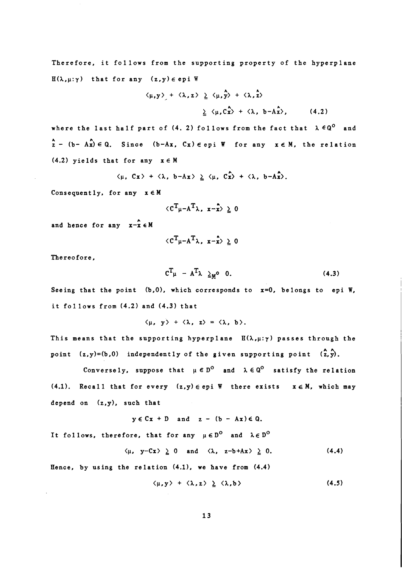Therefore, it follows from the supporting property of the hyperplane  $H(\lambda, \mu; \gamma)$  that for any  $(z, y) \in epi W$ 

$$
\langle \mu, y \rangle
$$
 +  $\langle \lambda, z \rangle \ge \langle \mu, \hat{y} \rangle$  +  $\langle \lambda, \hat{z} \rangle$   
 $\ge \langle \mu, C_x^2 \rangle$  +  $\langle \lambda, b - A_x^2 \rangle$ , (4.2)

where the last half part of (4. 2) follows from the fact that  $\lambda \epsilon Q^0$  and  $2 - (b - A_x) \in Q$ . Since  $(b-Ax, Cx) \in epi$  W for any  $x \in M$ , the relation  $(4.2)$  yields that for any  $x \in M$ 

$$
\langle \mu, Cx \rangle + \langle \lambda, b-Ax \rangle \ge \langle \mu, Cx \rangle + \langle \lambda, b-Ax \rangle.
$$

Consequently, for any  $x \in M$ 

$$
\langle c^T_{\mu} - A^T_{\lambda}, x - \hat{x} \rangle \geq 0
$$

and hence for any  $x-x \in M$ 

$$
\langle c^T_{\mu - A} T_{\lambda}, x - x \rangle \geq 0
$$

Thereofore,

$$
C^{T}{}_{\mu} - A^{T}{}_{\lambda} \geq_{M} 0 \quad 0. \tag{4.3}
$$

Seeing that the point  $(b,0)$ , which corresponds to  $x=0$ , belongs to epi W, it follows from (4.2) and (4.3) that

 $\langle \mu, y \rangle + \langle \lambda, z \rangle = \langle \lambda, b \rangle$ .

This means that the supporting hyperplane  $H(\lambda,\mu;\gamma)$  passes through the point (z,y)=(b,0) independently of the given supporting point (2,y).

Conversely, suppose that  $\mu \in D^0$  and  $\lambda \in Q^0$  satisfy the relation  $(4.1)$ . Recall that for every  $(z,y) \in epi$  W there exists  $x \in M$ , which may depend on  $(z,y)$ , such that

 $y \in Cx + D$  and  $z - (b - Ax) \in Q$ .

It follows, therefore, that for any  $\mu \in D^0$  and  $\lambda \in D^0$ 

$$
\langle \mu, y-Cx \rangle \geq 0
$$
 and  $\langle \lambda, z-b+Ax \rangle \geq 0.$  (4.4)

Hence, by using the relation  $(4.1)$ , we have from  $(4.4)$ 

$$
\langle \mu, y \rangle + \langle \lambda, z \rangle \geq \langle \lambda, b \rangle \tag{4.5}
$$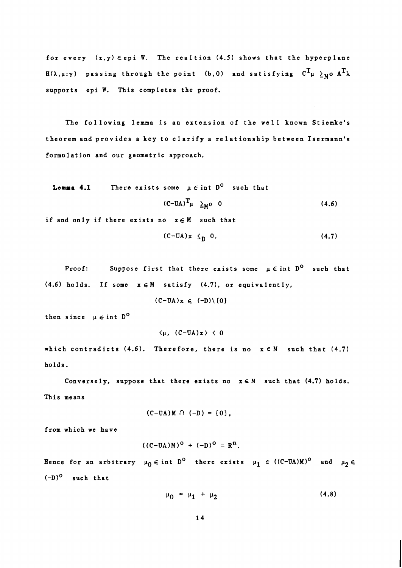for every  $(z, y) \in epi$  W. The realtion  $(4.5)$  shows that the hyperplane  $H(\lambda,\mu;\gamma)$  passing through the point (b,0) and satisfying  $C^T\mu \geq_{M} 0 A^T\lambda$ supports epi W. This completes the proof.

The fol lowing lemma is an extension of the well known Stiemke's theorem and provides a key to clarify a relationship between Isermann's formulation and our geometric approach.

**Lemma 4.1** There exists some 
$$
\mu \in \text{int } D^{\circ}
$$
 such that  
 $(C-UA)^T \mu \geq_M^{\circ} 0$  (4.6)

if and only if there exists no  $x \in M$  such that

$$
(C-UA)x \leq_0 0. \tag{4.7}
$$

Proof: Suppose first that there exists some  $\mu \in \text{int } D^0$  such that (4.6) holds. If some  $x \in M$  satisfy (4.7), or equivalently,

 $(C-UA)x \in (-D) \setminus \{0\}$ 

then since  $\mu \in \text{int } D^0$ 

 $\langle \mu, (C-UA)x \rangle \leq 0$ 

which contradicts (4.6). Therefore, there is no  $x \in M$  such that (4.7) holds.

Conversely, suppose that there exists no  $x \in M$  such that  $(4.7)$  holds. This means

$$
(C-UA)M \cap (-D) = \{0\},
$$

from which we have

$$
((C-UA)M)^O + (-D)^O = R^n.
$$

Hence for an arbitrary  $\mu_0 \in \text{int } D^0$  there exists  $\mu_1 \in ((C-UA)M)^0$  and  $\mu_2 \in$  $(-D)^0$  such that

$$
\mu_0 = \mu_1 + \mu_2 \tag{4.8}
$$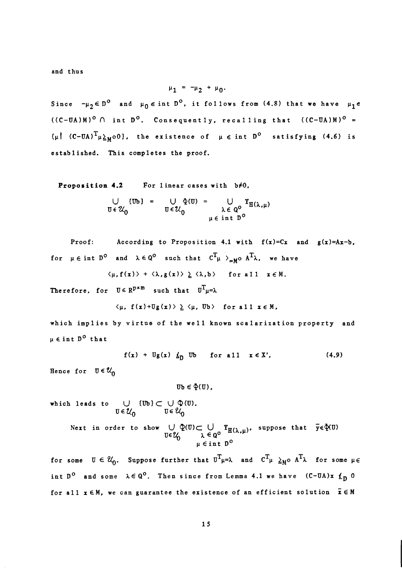and thus

$$
\mu_1 = -\mu_2 + \mu_0.
$$

Since  $-\mu_2 \in D^{\circ}$  and  $\mu_0 \in \text{int } D^{\circ}$ , it follows from (4.8) that we have  $\mu_1 \in$  $((C-UA)M)^{O}$   $\cap$  int  $D^{O}$ . Consequently, recalling that  $((C-UA)M)^{O}$  =  $\{\mu\}$  (C-UA)<sup>T</sup> $\mu \geq_{M}$ 00}, the existence of  $\mu \in \text{int } D^{\circ}$  satisfying (4.6) is established. This completes the proof.

Proposition 4.2 For linear cases with  $b \neq 0$ ,

$$
\bigcup_{\mathbf{U}\in\mathcal{U}_0} \{\mathbf{U}\mathbf{b}\} = \bigcup_{\mathbf{U}\in\mathcal{U}_0} \Phi(\mathbf{U}) = \bigcup_{\substack{\lambda \in \mathbf{Q}^0 \\ \mu \in \text{int } \mathbf{D}^0}} Y_{\mathbf{H}(\lambda,\mu)}
$$

Proof: According to Proposition 4.1 with  $f(x)=Cx$  and  $g(x)=Ax-b$ , for  $\mu \in \text{int } D^{\circ}$  and  $\lambda \in Q^{\circ}$  such that  $C^{T}{}_{\mu}$   $>_{=M^{\circ}}$   $A^{T}\lambda$ , we have

 $\langle \mu, f(x) \rangle + \langle \lambda, g(x) \rangle \ge \langle \lambda, b \rangle$  for all  $x \in M$ .

Therefore, for  $U \in R^{p \times m}$  such that  $U^{T}{}_{\mu} = \lambda$ 

 $\langle \mu, f(x) + \mathbb{U}g(x) \rangle \geq \langle \mu, \mathbb{U}b \rangle$  for all  $x \in M$ ,

which implies by virtue of the well known scalarization property and p **E** int DO that

> $f(x) + Ug(x) \not|_{D}$  Ub for all  $x \in X'$ ,  $(4.9)$

Hence for  $\mathbb{U} \in \mathcal{U}_0$ 

$$
\mathbf{U}\mathbf{b}\in\Phi(\mathbf{U})\,,
$$

which leads to  $\bigcup$  (Ub]  $\subset \bigcup \mathfrak{D}(\mathbb{U})$ .  $\overline{U} \in \mathcal{U}_0$   $\overline{U} \in \mathcal{U}_0$ 

Next in order to show 
$$
\bigcup_{U \in \mathcal{U}} \mathcal{Q}(U) \subset \bigcup_{\lambda \in \mathcal{Q}^0} Y_{H(\lambda,\mu)}
$$
, suppose that  $\overline{y} \in \mathcal{U}(U)$   
 $\psi \in \text{int } D^0$ 

for some  $\sigma \in \mathcal{U}_0$ . Suppose further that  $\sigma^T \mu = \lambda$  and  $\sigma^T \mu \geq_M 0$   $A^T \lambda$  for some  $\mu \in$ int D<sup>o</sup> and some  $\lambda \in \mathbb{Q}^{\mathbb{O}}$ . Then since from Lemma 4.1 we have  $(C-UA)x \nmid_{D} 0$ for all  $x \in M$ , we can guarantee the existence of an efficient solution  $\bar{x} \in M$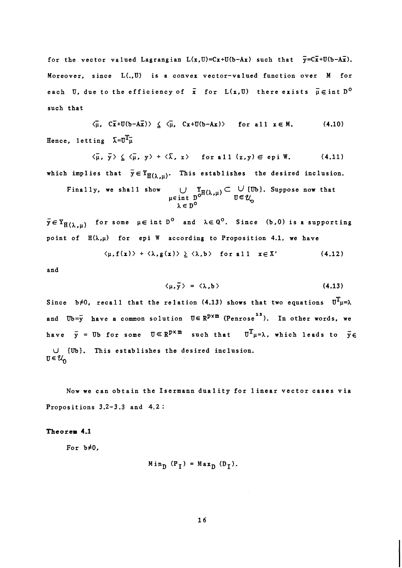for the vector valued Lagrangian  $L(x,U)=Cx+U(b-Ax)$  such that  $\overline{y}=C\overline{x}+U(b-A\overline{x})$ . Moreover, since L(.,U) is a convex vector-valued function over **M** for each U, due to the efficiency of  $\bar{\mathbf{x}}$  for  $\mathbf{L}(\mathbf{x},\mathbf{U})$  there exists  $\tilde{\mathbf{\mu}} \in \texttt{int } \mathbf{D^O}$ such that

 $\langle \overline{\mu}, C\overline{x}+U(b-A\overline{x}) \rangle \leq \langle \overline{\mu}, C\overline{x}+U(b-A\overline{x}) \rangle$  for all  $x \in M$ . (4.10) Hence, letting  $\overline{\lambda}=U^{T}U^{\overline{u}}$ 

 $\langle \overline{\mu}, \overline{y} \rangle \leq \langle \overline{\mu}, y \rangle + \langle \overline{\lambda}, z \rangle$  for all  $(z,y) \in \text{epi } W$ . (4.11) which implies that  $\bar{y} \in Y_{H(\lambda,\mu)}$ . This establishes the desired inclusion.

Finally, we shall show 
$$
\bigcup_{\mu \in \text{int } D^0} \mathcal{I}_{H(\lambda,\mu)} \subset \bigcup_{\mathcal{U} \in \mathcal{U}_0} \{ \mathcal{U}_b \}.
$$
 Suppose now that  $\lambda \in D^0$ 

 $\bar{y} \in Y_{H(\lambda,\mu)}$  for some  $\mu \in \text{int } D^{\circ}$  and  $\lambda \in Q^{\circ}$ . Since (b,0) is a supporting point of  $E(\lambda, \mu)$  for epi W according to Proposition 4.1, we have

$$
\langle \mu, f(x) \rangle + \langle \lambda, g(x) \rangle \geq \langle \lambda, b \rangle \quad \text{for all} \quad x \in X' \tag{4.12}
$$

and

$$
\langle \mu, \bar{y} \rangle = \langle \lambda, b \rangle
$$
 (4.13)

Since b#0, recall that the relation (4.13) shows that two equations  $U^T\mu=\lambda$ **12** and Ub=y have a common solution U∈ R<sup>pxm</sup> (Penrose<sup>12</sup>). In other words, we have  $\bar{y}$  = Ub for some  $U \subseteq R^{p \times m}$  such that  $U^{T}{}_{\mu} = \lambda$ , which leads to  $\bar{y} \in$ **CJ {Ub].** This establishes the desired inclusion.  $\mathbf{U} \in \mathcal{U}_n$ 

Now we can obtain the Isermann duality for linear vector cases via Propositions 3.2-3.3 and 4.2 :

## **Theorem 4.1**

For  $b \neq 0$ ,

$$
Min_{D} (P_{T}) = Max_{D} (D_{T}).
$$

 $16$